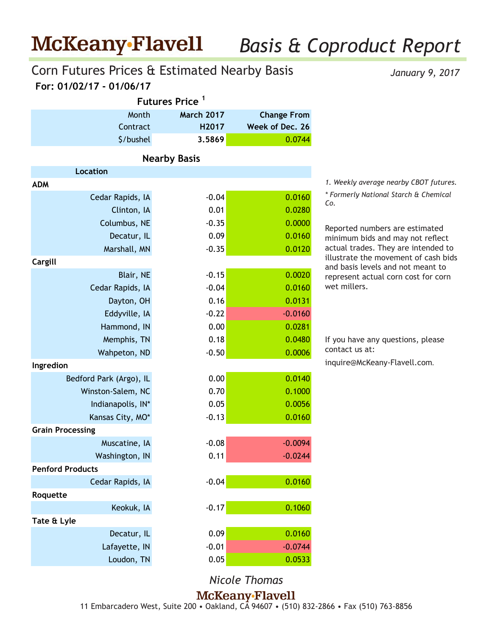## *Basis & Coproduct Report*

### **For: 01/02/17 - 01/06/17** Corn Futures Prices & Estimated Nearby Basis

*January 9, 2017*

| Futures Price <sup>1</sup> |                     |                    |  |  |  |  |  |
|----------------------------|---------------------|--------------------|--|--|--|--|--|
| Month                      | <b>March 2017</b>   | <b>Change From</b> |  |  |  |  |  |
| Contract                   | H2017               | Week of Dec. 26    |  |  |  |  |  |
| \$/bushel                  | 3.5869              | 0.0744             |  |  |  |  |  |
|                            | <b>Nearby Basis</b> |                    |  |  |  |  |  |
| <b>Location</b>            |                     |                    |  |  |  |  |  |
| <b>ADM</b>                 |                     |                    |  |  |  |  |  |
| Cedar Rapids, IA           | $-0.04$             | 0.0160             |  |  |  |  |  |
| Clinton, IA                | 0.01                | 0.0280             |  |  |  |  |  |
| Columbus, NE               | $-0.35$             | 0.0000             |  |  |  |  |  |
| Decatur, IL                | 0.09                | 0.0160             |  |  |  |  |  |
| Marshall, MN               | $-0.35$             | 0.0120             |  |  |  |  |  |
| Cargill                    |                     |                    |  |  |  |  |  |
| Blair, NE                  | $-0.15$             | 0.0020             |  |  |  |  |  |
| Cedar Rapids, IA           | $-0.04$             | 0.0160             |  |  |  |  |  |
| Dayton, OH                 | 0.16                | 0.0131             |  |  |  |  |  |
| Eddyville, IA              | $-0.22$             | $-0.0160$          |  |  |  |  |  |
| Hammond, IN                | 0.00                | 0.0281             |  |  |  |  |  |
| Memphis, TN                | 0.18                | 0.0480             |  |  |  |  |  |
| Wahpeton, ND               | $-0.50$             | 0.0006             |  |  |  |  |  |
| Ingredion                  |                     |                    |  |  |  |  |  |
| Bedford Park (Argo), IL    | 0.00                | 0.0140             |  |  |  |  |  |
| Winston-Salem, NC          | 0.70                | 0.1000             |  |  |  |  |  |
| Indianapolis, IN*          | 0.05                | 0.0056             |  |  |  |  |  |
| Kansas City, MO*           | $-0.13$             | 0.0160             |  |  |  |  |  |
| <b>Grain Processing</b>    |                     |                    |  |  |  |  |  |
| Muscatine, IA              | $-0.08$             | $-0.0094$          |  |  |  |  |  |
| Washington, IN             | 0.11                | $-0.0244$          |  |  |  |  |  |
| <b>Penford Products</b>    |                     |                    |  |  |  |  |  |
| Cedar Rapids, IA           | $-0.04$             | 0.0160             |  |  |  |  |  |
| Roquette                   |                     |                    |  |  |  |  |  |
| Keokuk, IA                 | $-0.17$             | 0.1060             |  |  |  |  |  |
| Tate & Lyle                |                     |                    |  |  |  |  |  |
| Decatur, IL                | 0.09                | 0.0160             |  |  |  |  |  |
| Lafayette, IN              | $-0.01$             | $-0.0744$          |  |  |  |  |  |
| Loudon, TN                 | 0.05                | 0.0533             |  |  |  |  |  |
|                            |                     |                    |  |  |  |  |  |

*1. Weekly average nearby CBOT futures. \* Formerly National Starch & Chemical Co.*

Reported numbers are estimated minimum bids and may not reflect actual trades. They are intended to illustrate the movement of cash bids and basis levels and not meant to represent actual corn cost for corn wet millers.

If you have any questions, please contact us at: inquire@McKeany-Flavell.com.

*Nicole Thomas*

McKeany-Flavell

11 Embarcadero West, Suite 200 • Oakland, CA 94607 • (510) 832-2866 • Fax (510) 763-8856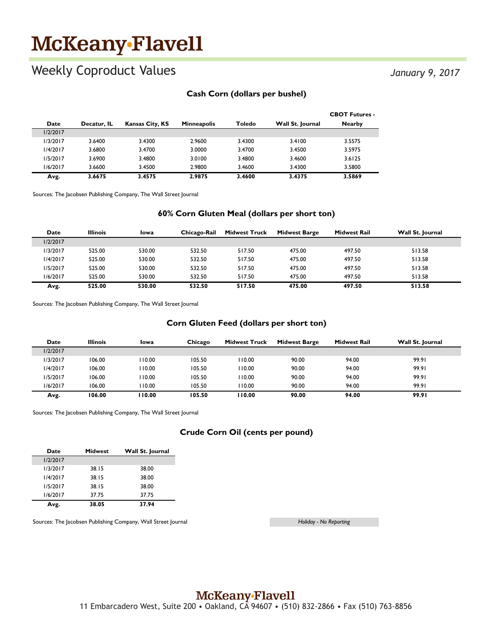# McKeany-Flavell

### Weekly Coproduct Values

*January 9, 2017*

#### **Cash Corn (dollars per bushel)**

|          |             |                        |                    |        |                  | <b>CBOT Futures -</b> |
|----------|-------------|------------------------|--------------------|--------|------------------|-----------------------|
| Date     | Decatur. IL | <b>Kansas City, KS</b> | <b>Minneapolis</b> | Toledo | Wall St. Journal | <b>Nearby</b>         |
| 1/2/2017 |             |                        |                    |        |                  |                       |
| 1/3/2017 | 3.6400      | 3.4300                 | 2.9600             | 3.4300 | 3.4100           | 3.5575                |
| 1/4/2017 | 3.6800      | 3.4700                 | 3.0000             | 3.4700 | 3.4500           | 3.5975                |
| 1/5/2017 | 3.6900      | 3.4800                 | 3.0100             | 3.4800 | 3.4600           | 3.6125                |
| 1/6/2017 | 3.6600      | 3.4500                 | 2.9800             | 3.4600 | 3.4300           | 3.5800                |
| Avg.     | 3.6675      | 3.4575                 | 2.9875             | 3.4600 | 3.4375           | 3.5869                |

Sources: The Jacobsen Publishing Company, The Wall Street Journal

#### **60% Corn Gluten Meal (dollars per short ton)**

| Date     | <b>Illinois</b> | Iowa   | Chicago-Rail | <b>Midwest Truck</b> | <b>Midwest Barge</b> | <b>Midwest Rail</b> | Wall St. Journal |
|----------|-----------------|--------|--------------|----------------------|----------------------|---------------------|------------------|
| 1/2/2017 |                 |        |              |                      |                      |                     |                  |
| 1/3/2017 | 525.00          | 530.00 | 532.50       | 517.50               | 475.00               | 497.50              | 513.58           |
| 1/4/2017 | 525.00          | 530.00 | 532.50       | 517.50               | 475.00               | 497.50              | 513.58           |
| 1/5/2017 | 525.00          | 530.00 | 532.50       | 517.50               | 475.00               | 497.50              | 513.58           |
| 1/6/2017 | 525.00          | 530.00 | 532.50       | 517.50               | 475.00               | 497.50              | 513.58           |
| Avg.     | 525.00          | 530.00 | 532.50       | 517.50               | 475.00               | 497.50              | 513.58           |

Sources: The Jacobsen Publishing Company, The Wall Street Journal

#### **Corn Gluten Feed (dollars per short ton)**

| Date     | <b>Illinois</b> | Iowa   | Chicago | <b>Midwest Truck</b> | <b>Midwest Barge</b> | Midwest Rail | Wall St. Journal |
|----------|-----------------|--------|---------|----------------------|----------------------|--------------|------------------|
| 1/2/2017 |                 |        |         |                      |                      |              |                  |
| 1/3/2017 | 106.00          | 110.00 | 105.50  | 110.00               | 90.00                | 94.00        | 99.91            |
| 1/4/2017 | 106.00          | 110.00 | 105.50  | 110.00               | 90.00                | 94.00        | 99.91            |
| 1/5/2017 | 106.00          | 110.00 | 105.50  | 110.00               | 90.00                | 94.00        | 99.91            |
| 1/6/2017 | 106.00          | 10.00  | 105.50  | 110.00               | 90.00                | 94.00        | 99.91            |
| Avg.     | 106.00          | 110.00 | 105.50  | 110.00               | 90.00                | 94.00        | 99.91            |

Sources: The Jacobsen Publishing Company, The Wall Street Journal

#### **Crude Corn Oil (cents per pound)**

| Date     | <b>Midwest</b> | Wall St. Journal |
|----------|----------------|------------------|
| 1/2/2017 |                |                  |
| 1/3/2017 | 38.15          | 38.00            |
| 1/4/2017 | 38.15          | 38.00            |
| 1/5/2017 | 38.15          | 38.00            |
| 1/6/2017 | 37.75          | 37.75            |
| Avg.     | 38.05          | 37.94            |

Sources: The Jacobsen Publishing Company, Wall Street Journal

*Holiday - No Reporting*